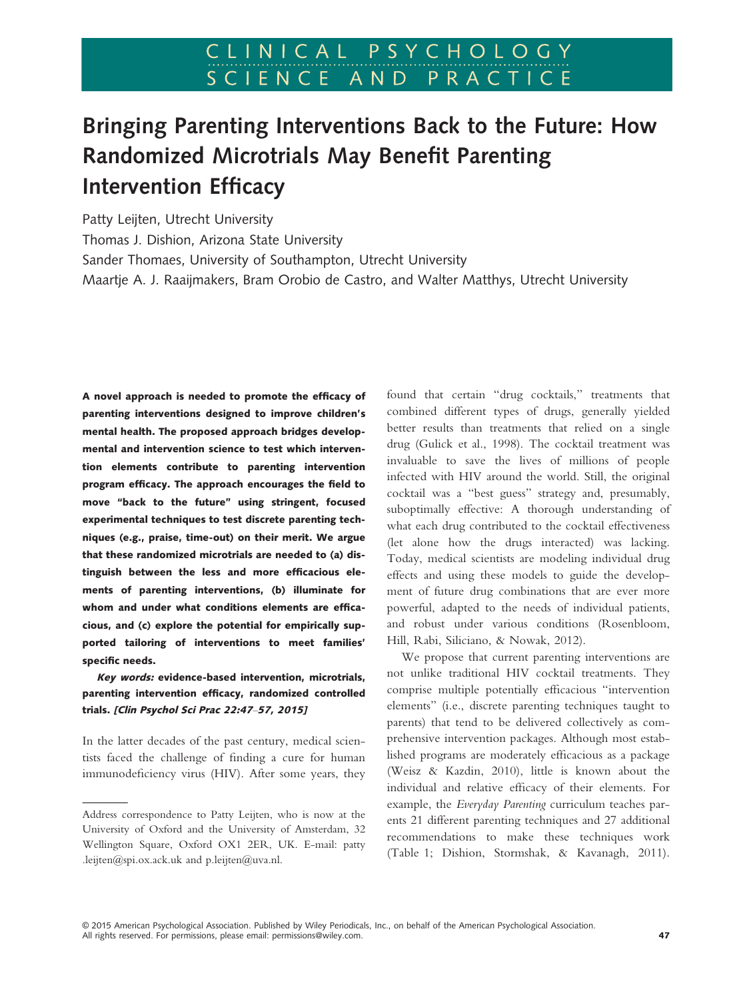## CLINICAL PSYCHOLOGY SCIENCE AND PRACTICE

# Bringing Parenting Interventions Back to the Future: How Randomized Microtrials May Benefit Parenting Intervention Efficacy

Patty Leijten, Utrecht University

Thomas J. Dishion, Arizona State University

Sander Thomaes, University of Southampton, Utrecht University

Maartje A. J. Raaijmakers, Bram Orobio de Castro, and Walter Matthys, Utrecht University

A novel approach is needed to promote the efficacy of parenting interventions designed to improve children's mental health. The proposed approach bridges developmental and intervention science to test which intervention elements contribute to parenting intervention program efficacy. The approach encourages the field to move "back to the future" using stringent, focused experimental techniques to test discrete parenting techniques (e.g., praise, time-out) on their merit. We argue that these randomized microtrials are needed to (a) distinguish between the less and more efficacious elements of parenting interventions, (b) illuminate for whom and under what conditions elements are efficacious, and (c) explore the potential for empirically supported tailoring of interventions to meet families' specific needs.

Key words: evidence-based intervention, microtrials, parenting intervention efficacy, randomized controlled trials. [Clin Psychol Sci Prac 22:47–57, 2015]

In the latter decades of the past century, medical scientists faced the challenge of finding a cure for human immunodeficiency virus (HIV). After some years, they found that certain "drug cocktails," treatments that combined different types of drugs, generally yielded better results than treatments that relied on a single drug (Gulick et al., 1998). The cocktail treatment was invaluable to save the lives of millions of people infected with HIV around the world. Still, the original cocktail was a "best guess" strategy and, presumably, suboptimally effective: A thorough understanding of what each drug contributed to the cocktail effectiveness (let alone how the drugs interacted) was lacking. Today, medical scientists are modeling individual drug effects and using these models to guide the development of future drug combinations that are ever more powerful, adapted to the needs of individual patients, and robust under various conditions (Rosenbloom, Hill, Rabi, Siliciano, & Nowak, 2012).

We propose that current parenting interventions are not unlike traditional HIV cocktail treatments. They comprise multiple potentially efficacious "intervention elements" (i.e., discrete parenting techniques taught to parents) that tend to be delivered collectively as comprehensive intervention packages. Although most established programs are moderately efficacious as a package (Weisz & Kazdin, 2010), little is known about the individual and relative efficacy of their elements. For example, the Everyday Parenting curriculum teaches parents 21 different parenting techniques and 27 additional recommendations to make these techniques work (Table 1; Dishion, Stormshak, & Kavanagh, 2011).

Address correspondence to Patty Leijten, who is now at the University of Oxford and the University of Amsterdam, 32 Wellington Square, Oxford OX1 2ER, UK. E-mail: patty .leijten@spi.ox.ack.uk and p.leijten@uva.nl.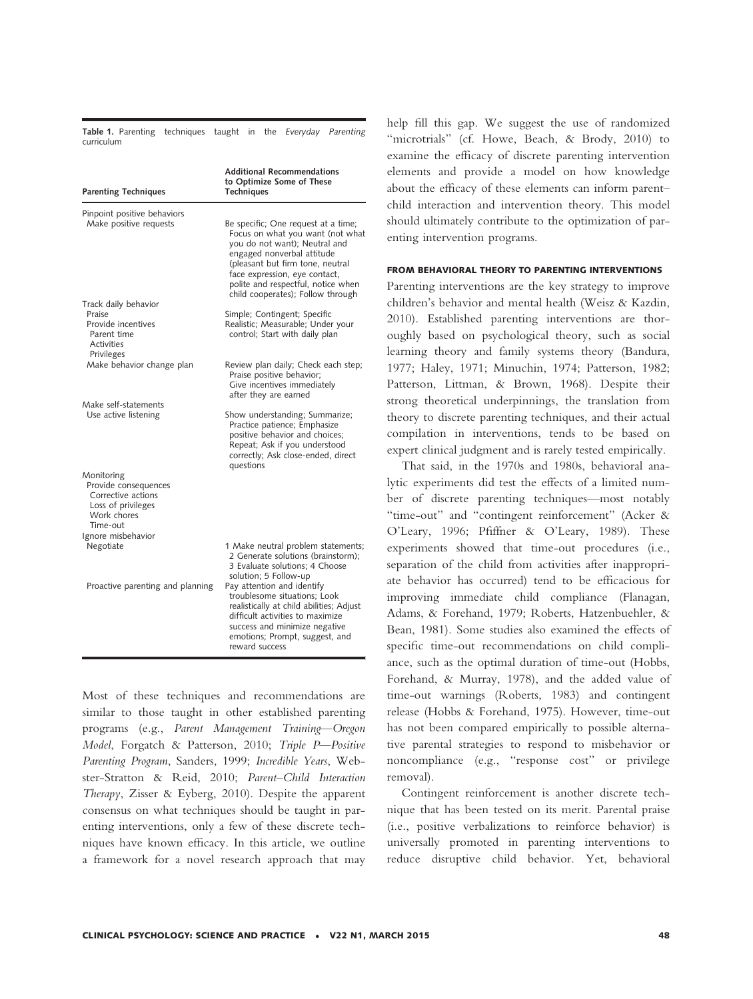Table 1. Parenting techniques taught in the Everyday Parenting curriculum

| <b>Parenting Techniques</b>                                                                 | <b>Additional Recommendations</b><br>to Optimize Some of These<br><b>Techniques</b>                                                                                                                                                                                                    |
|---------------------------------------------------------------------------------------------|----------------------------------------------------------------------------------------------------------------------------------------------------------------------------------------------------------------------------------------------------------------------------------------|
| Pinpoint positive behaviors                                                                 |                                                                                                                                                                                                                                                                                        |
| Make positive requests                                                                      | Be specific; One request at a time;<br>Focus on what you want (not what<br>you do not want); Neutral and<br>engaged nonverbal attitude<br>(pleasant but firm tone, neutral<br>face expression, eye contact,<br>polite and respectful, notice when<br>child cooperates); Follow through |
| Track daily behavior                                                                        |                                                                                                                                                                                                                                                                                        |
| Praise<br>Provide incentives<br>Parent time<br>Activities<br>Privileges                     | Simple; Contingent; Specific<br>Realistic; Measurable; Under your<br>control; Start with daily plan                                                                                                                                                                                    |
| Make behavior change plan                                                                   | Review plan daily; Check each step;<br>Praise positive behavior;<br>Give incentives immediately<br>after they are earned                                                                                                                                                               |
| Make self-statements                                                                        |                                                                                                                                                                                                                                                                                        |
| Use active listening                                                                        | Show understanding; Summarize;<br>Practice patience; Emphasize<br>positive behavior and choices;<br>Repeat; Ask if you understood<br>correctly; Ask close-ended, direct<br>questions                                                                                                   |
| Monitoring                                                                                  |                                                                                                                                                                                                                                                                                        |
| Provide consequences<br>Corrective actions<br>Loss of privileges<br>Work chores<br>Time-out |                                                                                                                                                                                                                                                                                        |
| Ignore misbehavior                                                                          |                                                                                                                                                                                                                                                                                        |
| Negotiate                                                                                   | 1 Make neutral problem statements;<br>2 Generate solutions (brainstorm);<br>3 Evaluate solutions; 4 Choose<br>solution; 5 Follow-up                                                                                                                                                    |
| Proactive parenting and planning                                                            | Pay attention and identify<br>troublesome situations; Look<br>realistically at child abilities; Adjust<br>difficult activities to maximize<br>success and minimize negative<br>emotions; Prompt, suggest, and<br>reward success                                                        |

Most of these techniques and recommendations are similar to those taught in other established parenting programs (e.g., Parent Management Training—Oregon Model, Forgatch & Patterson, 2010; Triple P—Positive Parenting Program, Sanders, 1999; Incredible Years, Webster-Stratton & Reid, 2010; Parent–Child Interaction Therapy, Zisser & Eyberg, 2010). Despite the apparent consensus on what techniques should be taught in parenting interventions, only a few of these discrete techniques have known efficacy. In this article, we outline a framework for a novel research approach that may help fill this gap. We suggest the use of randomized "microtrials" (cf. Howe, Beach, & Brody, 2010) to examine the efficacy of discrete parenting intervention elements and provide a model on how knowledge about the efficacy of these elements can inform parent– child interaction and intervention theory. This model should ultimately contribute to the optimization of parenting intervention programs.

#### FROM BEHAVIORAL THEORY TO PARENTING INTERVENTIONS

Parenting interventions are the key strategy to improve children's behavior and mental health (Weisz & Kazdin, 2010). Established parenting interventions are thoroughly based on psychological theory, such as social learning theory and family systems theory (Bandura, 1977; Haley, 1971; Minuchin, 1974; Patterson, 1982; Patterson, Littman, & Brown, 1968). Despite their strong theoretical underpinnings, the translation from theory to discrete parenting techniques, and their actual compilation in interventions, tends to be based on expert clinical judgment and is rarely tested empirically.

That said, in the 1970s and 1980s, behavioral analytic experiments did test the effects of a limited number of discrete parenting techniques—most notably "time-out" and "contingent reinforcement" (Acker & O'Leary, 1996; Pfiffner & O'Leary, 1989). These experiments showed that time-out procedures (i.e., separation of the child from activities after inappropriate behavior has occurred) tend to be efficacious for improving immediate child compliance (Flanagan, Adams, & Forehand, 1979; Roberts, Hatzenbuehler, & Bean, 1981). Some studies also examined the effects of specific time-out recommendations on child compliance, such as the optimal duration of time-out (Hobbs, Forehand, & Murray, 1978), and the added value of time-out warnings (Roberts, 1983) and contingent release (Hobbs & Forehand, 1975). However, time-out has not been compared empirically to possible alternative parental strategies to respond to misbehavior or noncompliance (e.g., "response cost" or privilege removal).

Contingent reinforcement is another discrete technique that has been tested on its merit. Parental praise (i.e., positive verbalizations to reinforce behavior) is universally promoted in parenting interventions to reduce disruptive child behavior. Yet, behavioral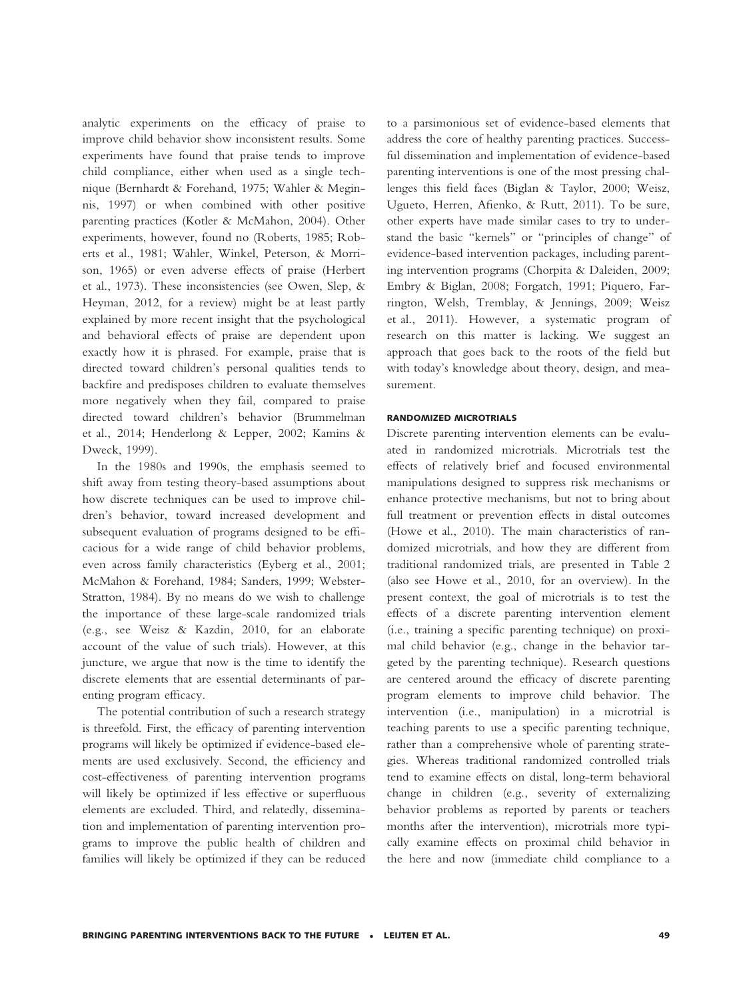analytic experiments on the efficacy of praise to improve child behavior show inconsistent results. Some experiments have found that praise tends to improve child compliance, either when used as a single technique (Bernhardt & Forehand, 1975; Wahler & Meginnis, 1997) or when combined with other positive parenting practices (Kotler & McMahon, 2004). Other experiments, however, found no (Roberts, 1985; Roberts et al., 1981; Wahler, Winkel, Peterson, & Morrison, 1965) or even adverse effects of praise (Herbert et al., 1973). These inconsistencies (see Owen, Slep, & Heyman, 2012, for a review) might be at least partly explained by more recent insight that the psychological and behavioral effects of praise are dependent upon exactly how it is phrased. For example, praise that is directed toward children's personal qualities tends to backfire and predisposes children to evaluate themselves more negatively when they fail, compared to praise directed toward children's behavior (Brummelman et al., 2014; Henderlong & Lepper, 2002; Kamins & Dweck, 1999).

In the 1980s and 1990s, the emphasis seemed to shift away from testing theory-based assumptions about how discrete techniques can be used to improve children's behavior, toward increased development and subsequent evaluation of programs designed to be efficacious for a wide range of child behavior problems, even across family characteristics (Eyberg et al., 2001; McMahon & Forehand, 1984; Sanders, 1999; Webster-Stratton, 1984). By no means do we wish to challenge the importance of these large-scale randomized trials (e.g., see Weisz & Kazdin, 2010, for an elaborate account of the value of such trials). However, at this juncture, we argue that now is the time to identify the discrete elements that are essential determinants of parenting program efficacy.

The potential contribution of such a research strategy is threefold. First, the efficacy of parenting intervention programs will likely be optimized if evidence-based elements are used exclusively. Second, the efficiency and cost-effectiveness of parenting intervention programs will likely be optimized if less effective or superfluous elements are excluded. Third, and relatedly, dissemination and implementation of parenting intervention programs to improve the public health of children and families will likely be optimized if they can be reduced to a parsimonious set of evidence-based elements that address the core of healthy parenting practices. Successful dissemination and implementation of evidence-based parenting interventions is one of the most pressing challenges this field faces (Biglan & Taylor, 2000; Weisz, Ugueto, Herren, Afienko, & Rutt, 2011). To be sure, other experts have made similar cases to try to understand the basic "kernels" or "principles of change" of evidence-based intervention packages, including parenting intervention programs (Chorpita & Daleiden, 2009; Embry & Biglan, 2008; Forgatch, 1991; Piquero, Farrington, Welsh, Tremblay, & Jennings, 2009; Weisz et al., 2011). However, a systematic program of research on this matter is lacking. We suggest an approach that goes back to the roots of the field but with today's knowledge about theory, design, and measurement.

#### RANDOMIZED MICROTRIALS

Discrete parenting intervention elements can be evaluated in randomized microtrials. Microtrials test the effects of relatively brief and focused environmental manipulations designed to suppress risk mechanisms or enhance protective mechanisms, but not to bring about full treatment or prevention effects in distal outcomes (Howe et al., 2010). The main characteristics of randomized microtrials, and how they are different from traditional randomized trials, are presented in Table 2 (also see Howe et al., 2010, for an overview). In the present context, the goal of microtrials is to test the effects of a discrete parenting intervention element (i.e., training a specific parenting technique) on proximal child behavior (e.g., change in the behavior targeted by the parenting technique). Research questions are centered around the efficacy of discrete parenting program elements to improve child behavior. The intervention (i.e., manipulation) in a microtrial is teaching parents to use a specific parenting technique, rather than a comprehensive whole of parenting strategies. Whereas traditional randomized controlled trials tend to examine effects on distal, long-term behavioral change in children (e.g., severity of externalizing behavior problems as reported by parents or teachers months after the intervention), microtrials more typically examine effects on proximal child behavior in the here and now (immediate child compliance to a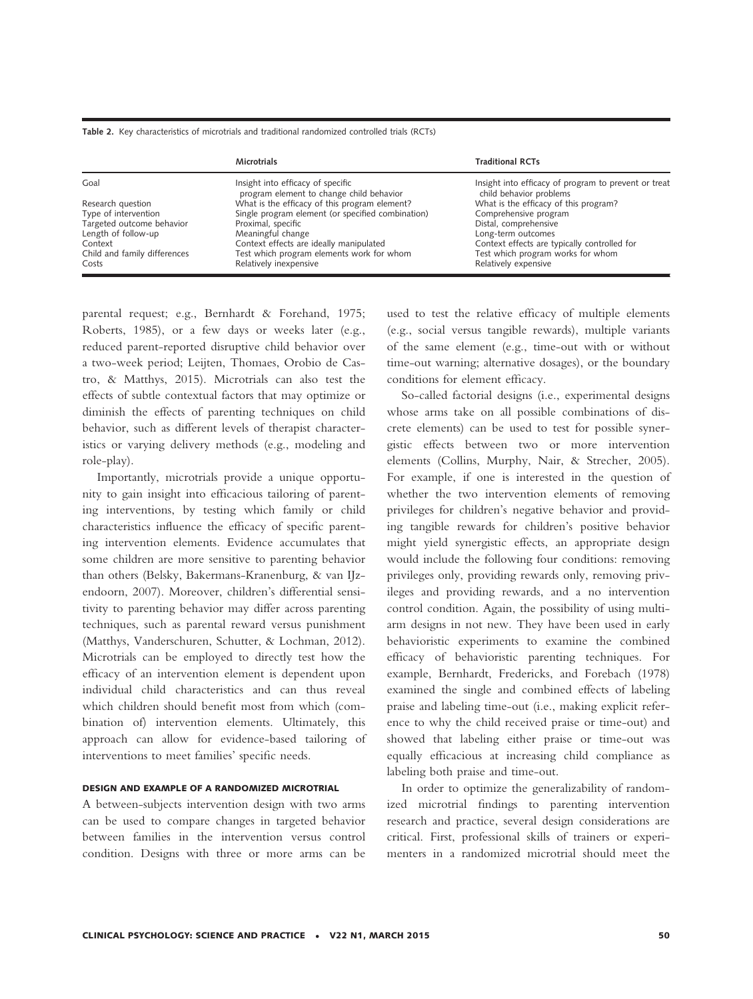|  |  | Table 2. Key characteristics of microtrials and traditional randomized controlled trials (RCTs) |  |  |  |  |  |
|--|--|-------------------------------------------------------------------------------------------------|--|--|--|--|--|
|--|--|-------------------------------------------------------------------------------------------------|--|--|--|--|--|

|                              | <b>Microtrials</b>                                                            | <b>Traditional RCTs</b>                                                         |
|------------------------------|-------------------------------------------------------------------------------|---------------------------------------------------------------------------------|
| Goal                         | Insight into efficacy of specific<br>program element to change child behavior | Insight into efficacy of program to prevent or treat<br>child behavior problems |
| Research question            | What is the efficacy of this program element?                                 | What is the efficacy of this program?                                           |
| Type of intervention         | Single program element (or specified combination)                             | Comprehensive program                                                           |
| Targeted outcome behavior    | Proximal, specific                                                            | Distal, comprehensive                                                           |
| Length of follow-up          | Meaningful change                                                             | Long-term outcomes                                                              |
| Context                      | Context effects are ideally manipulated                                       | Context effects are typically controlled for                                    |
| Child and family differences | Test which program elements work for whom                                     | Test which program works for whom                                               |
| Costs                        | Relatively inexpensive                                                        | Relatively expensive                                                            |

parental request; e.g., Bernhardt & Forehand, 1975; Roberts, 1985), or a few days or weeks later (e.g., reduced parent-reported disruptive child behavior over a two-week period; Leijten, Thomaes, Orobio de Castro, & Matthys, 2015). Microtrials can also test the effects of subtle contextual factors that may optimize or diminish the effects of parenting techniques on child behavior, such as different levels of therapist characteristics or varying delivery methods (e.g., modeling and role-play).

Importantly, microtrials provide a unique opportunity to gain insight into efficacious tailoring of parenting interventions, by testing which family or child characteristics influence the efficacy of specific parenting intervention elements. Evidence accumulates that some children are more sensitive to parenting behavior than others (Belsky, Bakermans-Kranenburg, & van IJzendoorn, 2007). Moreover, children's differential sensitivity to parenting behavior may differ across parenting techniques, such as parental reward versus punishment (Matthys, Vanderschuren, Schutter, & Lochman, 2012). Microtrials can be employed to directly test how the efficacy of an intervention element is dependent upon individual child characteristics and can thus reveal which children should benefit most from which (combination of) intervention elements. Ultimately, this approach can allow for evidence-based tailoring of interventions to meet families' specific needs.

#### DESIGN AND EXAMPLE OF A RANDOMIZED MICROTRIAL

A between-subjects intervention design with two arms can be used to compare changes in targeted behavior between families in the intervention versus control condition. Designs with three or more arms can be used to test the relative efficacy of multiple elements (e.g., social versus tangible rewards), multiple variants of the same element (e.g., time-out with or without time-out warning; alternative dosages), or the boundary conditions for element efficacy.

So-called factorial designs (i.e., experimental designs whose arms take on all possible combinations of discrete elements) can be used to test for possible synergistic effects between two or more intervention elements (Collins, Murphy, Nair, & Strecher, 2005). For example, if one is interested in the question of whether the two intervention elements of removing privileges for children's negative behavior and providing tangible rewards for children's positive behavior might yield synergistic effects, an appropriate design would include the following four conditions: removing privileges only, providing rewards only, removing privileges and providing rewards, and a no intervention control condition. Again, the possibility of using multiarm designs in not new. They have been used in early behavioristic experiments to examine the combined efficacy of behavioristic parenting techniques. For example, Bernhardt, Fredericks, and Forebach (1978) examined the single and combined effects of labeling praise and labeling time-out (i.e., making explicit reference to why the child received praise or time-out) and showed that labeling either praise or time-out was equally efficacious at increasing child compliance as labeling both praise and time-out.

In order to optimize the generalizability of randomized microtrial findings to parenting intervention research and practice, several design considerations are critical. First, professional skills of trainers or experimenters in a randomized microtrial should meet the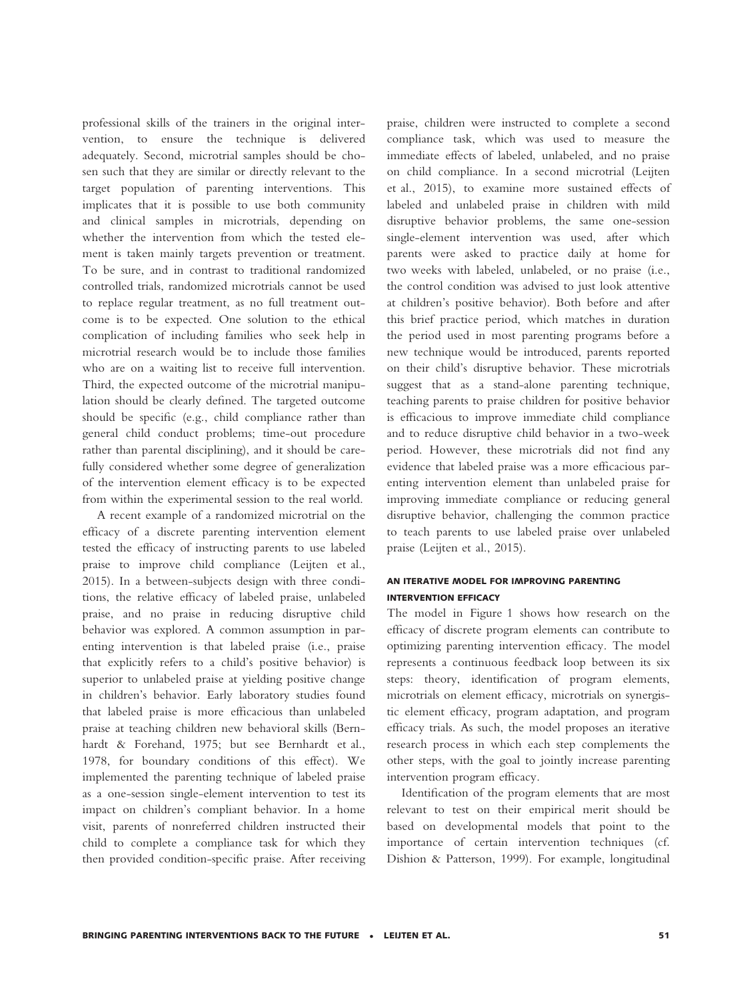professional skills of the trainers in the original intervention, to ensure the technique is delivered adequately. Second, microtrial samples should be chosen such that they are similar or directly relevant to the target population of parenting interventions. This implicates that it is possible to use both community and clinical samples in microtrials, depending on whether the intervention from which the tested element is taken mainly targets prevention or treatment. To be sure, and in contrast to traditional randomized controlled trials, randomized microtrials cannot be used to replace regular treatment, as no full treatment outcome is to be expected. One solution to the ethical complication of including families who seek help in microtrial research would be to include those families who are on a waiting list to receive full intervention. Third, the expected outcome of the microtrial manipulation should be clearly defined. The targeted outcome should be specific (e.g., child compliance rather than general child conduct problems; time-out procedure rather than parental disciplining), and it should be carefully considered whether some degree of generalization of the intervention element efficacy is to be expected from within the experimental session to the real world.

A recent example of a randomized microtrial on the efficacy of a discrete parenting intervention element tested the efficacy of instructing parents to use labeled praise to improve child compliance (Leijten et al., 2015). In a between-subjects design with three conditions, the relative efficacy of labeled praise, unlabeled praise, and no praise in reducing disruptive child behavior was explored. A common assumption in parenting intervention is that labeled praise (i.e., praise that explicitly refers to a child's positive behavior) is superior to unlabeled praise at yielding positive change in children's behavior. Early laboratory studies found that labeled praise is more efficacious than unlabeled praise at teaching children new behavioral skills (Bernhardt & Forehand, 1975; but see Bernhardt et al., 1978, for boundary conditions of this effect). We implemented the parenting technique of labeled praise as a one-session single-element intervention to test its impact on children's compliant behavior. In a home visit, parents of nonreferred children instructed their child to complete a compliance task for which they then provided condition-specific praise. After receiving

praise, children were instructed to complete a second compliance task, which was used to measure the immediate effects of labeled, unlabeled, and no praise on child compliance. In a second microtrial (Leijten et al., 2015), to examine more sustained effects of labeled and unlabeled praise in children with mild disruptive behavior problems, the same one-session single-element intervention was used, after which parents were asked to practice daily at home for two weeks with labeled, unlabeled, or no praise (i.e., the control condition was advised to just look attentive at children's positive behavior). Both before and after this brief practice period, which matches in duration the period used in most parenting programs before a new technique would be introduced, parents reported on their child's disruptive behavior. These microtrials suggest that as a stand-alone parenting technique, teaching parents to praise children for positive behavior is efficacious to improve immediate child compliance and to reduce disruptive child behavior in a two-week period. However, these microtrials did not find any evidence that labeled praise was a more efficacious parenting intervention element than unlabeled praise for improving immediate compliance or reducing general disruptive behavior, challenging the common practice to teach parents to use labeled praise over unlabeled praise (Leijten et al., 2015).

### AN ITERATIVE MODEL FOR IMPROVING PARENTING INTERVENTION EFFICACY

The model in Figure 1 shows how research on the efficacy of discrete program elements can contribute to optimizing parenting intervention efficacy. The model represents a continuous feedback loop between its six steps: theory, identification of program elements, microtrials on element efficacy, microtrials on synergistic element efficacy, program adaptation, and program efficacy trials. As such, the model proposes an iterative research process in which each step complements the other steps, with the goal to jointly increase parenting intervention program efficacy.

Identification of the program elements that are most relevant to test on their empirical merit should be based on developmental models that point to the importance of certain intervention techniques (cf. Dishion & Patterson, 1999). For example, longitudinal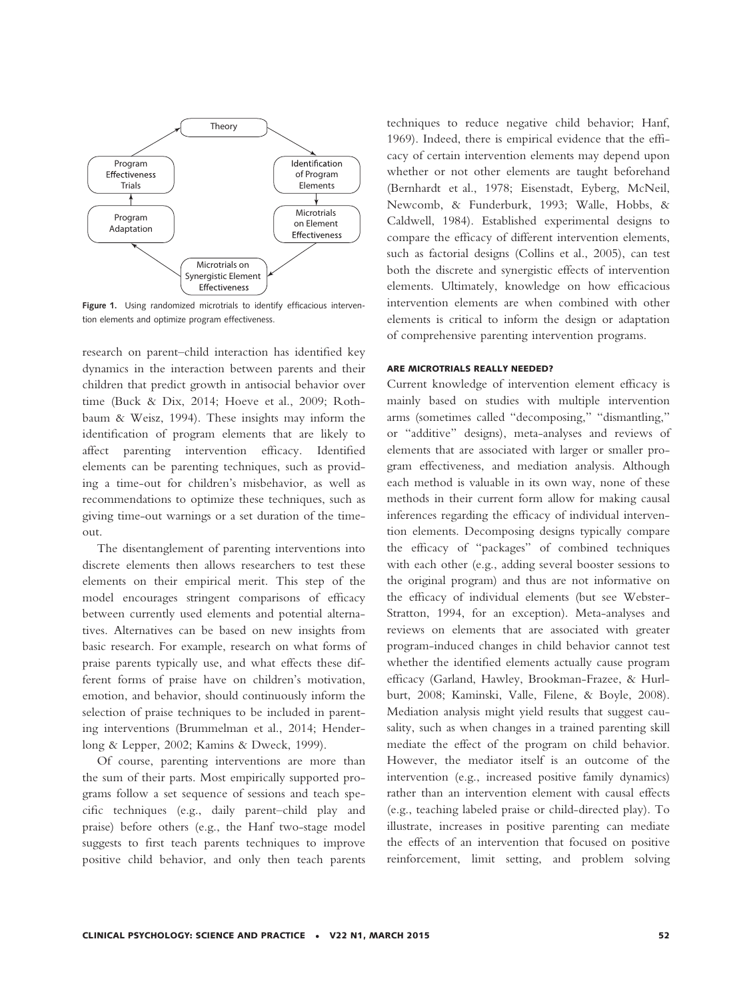

Figure 1. Using randomized microtrials to identify efficacious intervention elements and optimize program effectiveness.

research on parent–child interaction has identified key dynamics in the interaction between parents and their children that predict growth in antisocial behavior over time (Buck & Dix, 2014; Hoeve et al., 2009; Rothbaum & Weisz, 1994). These insights may inform the identification of program elements that are likely to affect parenting intervention efficacy. Identified elements can be parenting techniques, such as providing a time-out for children's misbehavior, as well as recommendations to optimize these techniques, such as giving time-out warnings or a set duration of the timeout.

The disentanglement of parenting interventions into discrete elements then allows researchers to test these elements on their empirical merit. This step of the model encourages stringent comparisons of efficacy between currently used elements and potential alternatives. Alternatives can be based on new insights from basic research. For example, research on what forms of praise parents typically use, and what effects these different forms of praise have on children's motivation, emotion, and behavior, should continuously inform the selection of praise techniques to be included in parenting interventions (Brummelman et al., 2014; Henderlong & Lepper, 2002; Kamins & Dweck, 1999).

Of course, parenting interventions are more than the sum of their parts. Most empirically supported programs follow a set sequence of sessions and teach specific techniques (e.g., daily parent–child play and praise) before others (e.g., the Hanf two-stage model suggests to first teach parents techniques to improve positive child behavior, and only then teach parents

techniques to reduce negative child behavior; Hanf, 1969). Indeed, there is empirical evidence that the efficacy of certain intervention elements may depend upon whether or not other elements are taught beforehand (Bernhardt et al., 1978; Eisenstadt, Eyberg, McNeil, Newcomb, & Funderburk, 1993; Walle, Hobbs, & Caldwell, 1984). Established experimental designs to compare the efficacy of different intervention elements, such as factorial designs (Collins et al., 2005), can test both the discrete and synergistic effects of intervention elements. Ultimately, knowledge on how efficacious intervention elements are when combined with other elements is critical to inform the design or adaptation of comprehensive parenting intervention programs.

#### ARE MICROTRIALS REALLY NEEDED?

Current knowledge of intervention element efficacy is mainly based on studies with multiple intervention arms (sometimes called "decomposing," "dismantling," or "additive" designs), meta-analyses and reviews of elements that are associated with larger or smaller program effectiveness, and mediation analysis. Although each method is valuable in its own way, none of these methods in their current form allow for making causal inferences regarding the efficacy of individual intervention elements. Decomposing designs typically compare the efficacy of "packages" of combined techniques with each other (e.g., adding several booster sessions to the original program) and thus are not informative on the efficacy of individual elements (but see Webster-Stratton, 1994, for an exception). Meta-analyses and reviews on elements that are associated with greater program-induced changes in child behavior cannot test whether the identified elements actually cause program efficacy (Garland, Hawley, Brookman-Frazee, & Hurlburt, 2008; Kaminski, Valle, Filene, & Boyle, 2008). Mediation analysis might yield results that suggest causality, such as when changes in a trained parenting skill mediate the effect of the program on child behavior. However, the mediator itself is an outcome of the intervention (e.g., increased positive family dynamics) rather than an intervention element with causal effects (e.g., teaching labeled praise or child-directed play). To illustrate, increases in positive parenting can mediate the effects of an intervention that focused on positive reinforcement, limit setting, and problem solving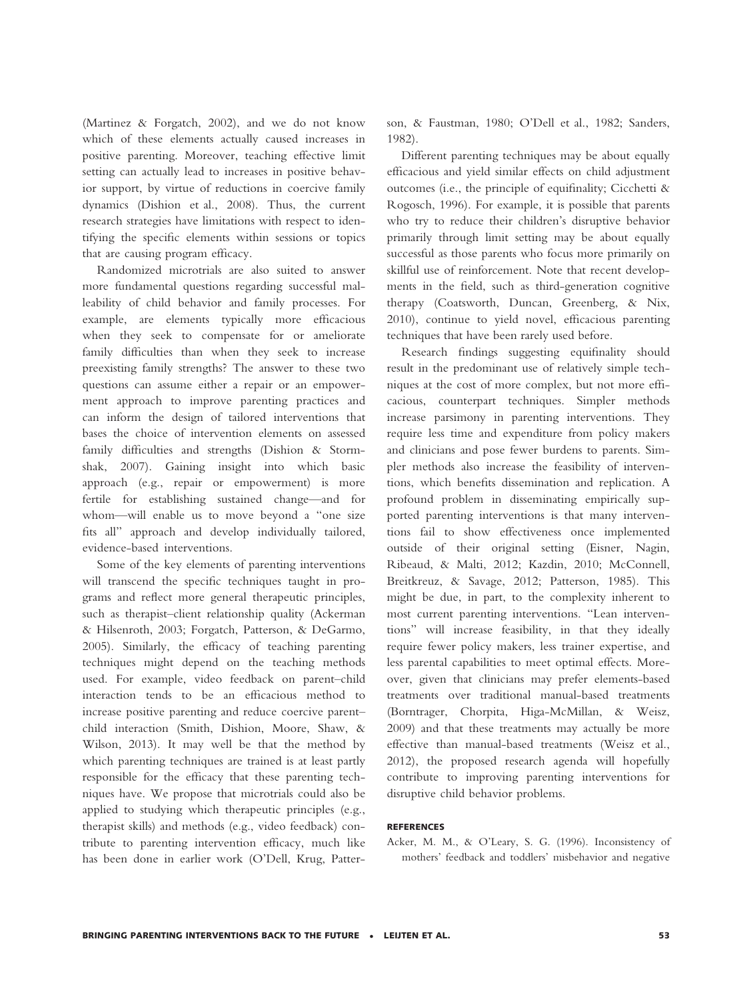(Martinez & Forgatch, 2002), and we do not know which of these elements actually caused increases in positive parenting. Moreover, teaching effective limit setting can actually lead to increases in positive behavior support, by virtue of reductions in coercive family dynamics (Dishion et al., 2008). Thus, the current research strategies have limitations with respect to identifying the specific elements within sessions or topics that are causing program efficacy.

Randomized microtrials are also suited to answer more fundamental questions regarding successful malleability of child behavior and family processes. For example, are elements typically more efficacious when they seek to compensate for or ameliorate family difficulties than when they seek to increase preexisting family strengths? The answer to these two questions can assume either a repair or an empowerment approach to improve parenting practices and can inform the design of tailored interventions that bases the choice of intervention elements on assessed family difficulties and strengths (Dishion & Stormshak, 2007). Gaining insight into which basic approach (e.g., repair or empowerment) is more fertile for establishing sustained change—and for whom—will enable us to move beyond a "one size fits all" approach and develop individually tailored, evidence-based interventions.

Some of the key elements of parenting interventions will transcend the specific techniques taught in programs and reflect more general therapeutic principles, such as therapist–client relationship quality (Ackerman & Hilsenroth, 2003; Forgatch, Patterson, & DeGarmo, 2005). Similarly, the efficacy of teaching parenting techniques might depend on the teaching methods used. For example, video feedback on parent–child interaction tends to be an efficacious method to increase positive parenting and reduce coercive parent– child interaction (Smith, Dishion, Moore, Shaw, & Wilson, 2013). It may well be that the method by which parenting techniques are trained is at least partly responsible for the efficacy that these parenting techniques have. We propose that microtrials could also be applied to studying which therapeutic principles (e.g., therapist skills) and methods (e.g., video feedback) contribute to parenting intervention efficacy, much like has been done in earlier work (O'Dell, Krug, Patterson, & Faustman, 1980; O'Dell et al., 1982; Sanders, 1982).

Different parenting techniques may be about equally efficacious and yield similar effects on child adjustment outcomes (i.e., the principle of equifinality; Cicchetti & Rogosch, 1996). For example, it is possible that parents who try to reduce their children's disruptive behavior primarily through limit setting may be about equally successful as those parents who focus more primarily on skillful use of reinforcement. Note that recent developments in the field, such as third-generation cognitive therapy (Coatsworth, Duncan, Greenberg, & Nix, 2010), continue to yield novel, efficacious parenting techniques that have been rarely used before.

Research findings suggesting equifinality should result in the predominant use of relatively simple techniques at the cost of more complex, but not more efficacious, counterpart techniques. Simpler methods increase parsimony in parenting interventions. They require less time and expenditure from policy makers and clinicians and pose fewer burdens to parents. Simpler methods also increase the feasibility of interventions, which benefits dissemination and replication. A profound problem in disseminating empirically supported parenting interventions is that many interventions fail to show effectiveness once implemented outside of their original setting (Eisner, Nagin, Ribeaud, & Malti, 2012; Kazdin, 2010; McConnell, Breitkreuz, & Savage, 2012; Patterson, 1985). This might be due, in part, to the complexity inherent to most current parenting interventions. "Lean interventions" will increase feasibility, in that they ideally require fewer policy makers, less trainer expertise, and less parental capabilities to meet optimal effects. Moreover, given that clinicians may prefer elements-based treatments over traditional manual-based treatments (Borntrager, Chorpita, Higa-McMillan, & Weisz, 2009) and that these treatments may actually be more effective than manual-based treatments (Weisz et al., 2012), the proposed research agenda will hopefully contribute to improving parenting interventions for disruptive child behavior problems.

#### **REFERENCES**

Acker, M. M., & O'Leary, S. G. (1996). Inconsistency of mothers' feedback and toddlers' misbehavior and negative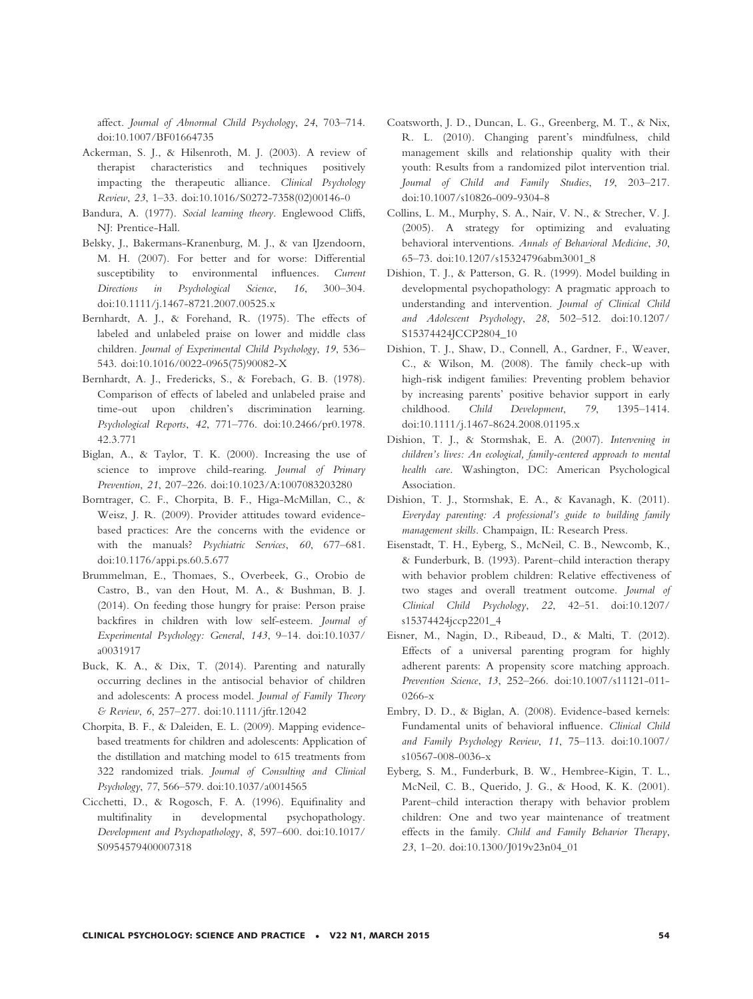affect. Journal of Abnormal Child Psychology, 24, 703–714. doi:[10.1007/BF01664735](http://dx.doi.org/10.1007/BF01664735)

- Ackerman, S. J., & Hilsenroth, M. J. (2003). A review of therapist characteristics and techniques positively impacting the therapeutic alliance. Clinical Psychology Review, 23, 1–33. doi[:10.1016/S0272-7358\(02\)00146-0](http://dx.doi.org/10.1016/S0272-7358(02)00146-0)
- Bandura, A. (1977). Social learning theory. Englewood Cliffs, NJ: Prentice-Hall.
- Belsky, J., Bakermans-Kranenburg, M. J., & van IJzendoorn, M. H. (2007). For better and for worse: Differential susceptibility to environmental influences. Current Directions in Psychological Science, 16, 300-304. doi:[10.1111/j.1467-8721.2007.00525.x](http://dx.doi.org/10.1111/j.1467-8721.2007.00525.x)
- Bernhardt, A. J., & Forehand, R. (1975). The effects of labeled and unlabeled praise on lower and middle class children. Journal of Experimental Child Psychology, 19, 536– 543. doi[:10.1016/0022-0965\(75\)90082-X](http://dx.doi.org/10.1016/0022-0965(75)90082-X)
- Bernhardt, A. J., Fredericks, S., & Forebach, G. B. (1978). Comparison of effects of labeled and unlabeled praise and time-out upon children's discrimination learning. Psychological Reports, 42, 771–776. doi[:10.2466/pr0.1978.](http://dx.doi.org/10.2466/pr0.1978.42.3.771) [42.3.771](http://dx.doi.org/10.2466/pr0.1978.42.3.771)
- Biglan, A., & Taylor, T. K. (2000). Increasing the use of science to improve child-rearing. Journal of Primary Prevention, 21, 207–226. doi:[10.1023/A:1007083203280](http://dx.doi.org/10.1023/A:1007083203280)
- Borntrager, C. F., Chorpita, B. F., Higa-McMillan, C., & Weisz, J. R. (2009). Provider attitudes toward evidencebased practices: Are the concerns with the evidence or with the manuals? Psychiatric Services, 60, 677–681. doi:[10.1176/appi.ps.60.5.677](http://dx.doi.org/10.1176/appi.ps.60.5.677)
- Brummelman, E., Thomaes, S., Overbeek, G., Orobio de Castro, B., van den Hout, M. A., & Bushman, B. J. (2014). On feeding those hungry for praise: Person praise backfires in children with low self-esteem. Journal of Experimental Psychology: General, 143, 9–14. doi[:10.1037/](http://dx.doi.org/10.1037/a0031917) [a0031917](http://dx.doi.org/10.1037/a0031917)
- Buck, K. A., & Dix, T. (2014). Parenting and naturally occurring declines in the antisocial behavior of children and adolescents: A process model. Journal of Family Theory & Review, 6, 257–277. doi[:10.1111/jftr.12042](http://dx.doi.org/10.1111/jftr.12042)
- Chorpita, B. F., & Daleiden, E. L. (2009). Mapping evidencebased treatments for children and adolescents: Application of the distillation and matching model to 615 treatments from 322 randomized trials. Journal of Consulting and Clinical Psychology, 77, 566–579. doi[:10.1037/a0014565](http://dx.doi.org/10.1037/a0014565)
- Cicchetti, D., & Rogosch, F. A. (1996). Equifinality and multifinality in developmental psychopathology. Development and Psychopathology, 8, 597–600. doi[:10.1017/](http://dx.doi.org/10.1017/S0954579400007318) [S0954579400007318](http://dx.doi.org/10.1017/S0954579400007318)
- Coatsworth, J. D., Duncan, L. G., Greenberg, M. T., & Nix, R. L. (2010). Changing parent's mindfulness, child management skills and relationship quality with their youth: Results from a randomized pilot intervention trial. Journal of Child and Family Studies, 19, 203–217. doi:[10.1007/s10826-009-9304-8](http://dx.doi.org/10.1007/s10826-009-9304-8)
- Collins, L. M., Murphy, S. A., Nair, V. N., & Strecher, V. J. (2005). A strategy for optimizing and evaluating behavioral interventions. Annals of Behavioral Medicine, 30, 65–73. doi[:10.1207/s15324796abm3001\\_8](http://dx.doi.org/10.1207/s15324796abm3001_8)
- Dishion, T. J., & Patterson, G. R. (1999). Model building in developmental psychopathology: A pragmatic approach to understanding and intervention. Journal of Clinical Child and Adolescent Psychology, 28, 502–512. doi[:10.1207/](http://dx.doi.org/10.1207/S15374424JCCP2804_10) [S15374424JCCP2804\\_10](http://dx.doi.org/10.1207/S15374424JCCP2804_10)
- Dishion, T. J., Shaw, D., Connell, A., Gardner, F., Weaver, C., & Wilson, M. (2008). The family check-up with high-risk indigent families: Preventing problem behavior by increasing parents' positive behavior support in early childhood. Child Development, 79, 1395–1414. doi:[10.1111/j.1467-8624.2008.01195.x](http://dx.doi.org/10.1111/j.1467-8624.2008.01195.x)
- Dishion, T. J., & Stormshak, E. A. (2007). Intervening in children's lives: An ecological, family-centered approach to mental health care. Washington, DC: American Psychological Association.
- Dishion, T. J., Stormshak, E. A., & Kavanagh, K. (2011). Everyday parenting: A professional's guide to building family management skills. Champaign, IL: Research Press.
- Eisenstadt, T. H., Eyberg, S., McNeil, C. B., Newcomb, K., & Funderburk, B. (1993). Parent–child interaction therapy with behavior problem children: Relative effectiveness of two stages and overall treatment outcome. Journal of Clinical Child Psychology, 22, 42–51. doi[:10.1207/](http://dx.doi.org/10.1207/s15374424jccp2201_4) [s15374424jccp2201\\_4](http://dx.doi.org/10.1207/s15374424jccp2201_4)
- Eisner, M., Nagin, D., Ribeaud, D., & Malti, T. (2012). Effects of a universal parenting program for highly adherent parents: A propensity score matching approach. Prevention Science, 13, 252–266. doi[:10.1007/s11121-011-](http://dx.doi.org/10.1007/s11121-011-0266-x) [0266-x](http://dx.doi.org/10.1007/s11121-011-0266-x)
- Embry, D. D., & Biglan, A. (2008). Evidence-based kernels: Fundamental units of behavioral influence. Clinical Child and Family Psychology Review, 11, 75–113. doi[:10.1007/](http://dx.doi.org/10.1007/s10567-008-0036-x) [s10567-008-0036-x](http://dx.doi.org/10.1007/s10567-008-0036-x)
- Eyberg, S. M., Funderburk, B. W., Hembree-Kigin, T. L., McNeil, C. B., Querido, J. G., & Hood, K. K. (2001). Parent–child interaction therapy with behavior problem children: One and two year maintenance of treatment effects in the family. Child and Family Behavior Therapy, 23, 1–20. doi[:10.1300/J019v23n04\\_01](http://dx.doi.org/10.1300/J019v23n04_01)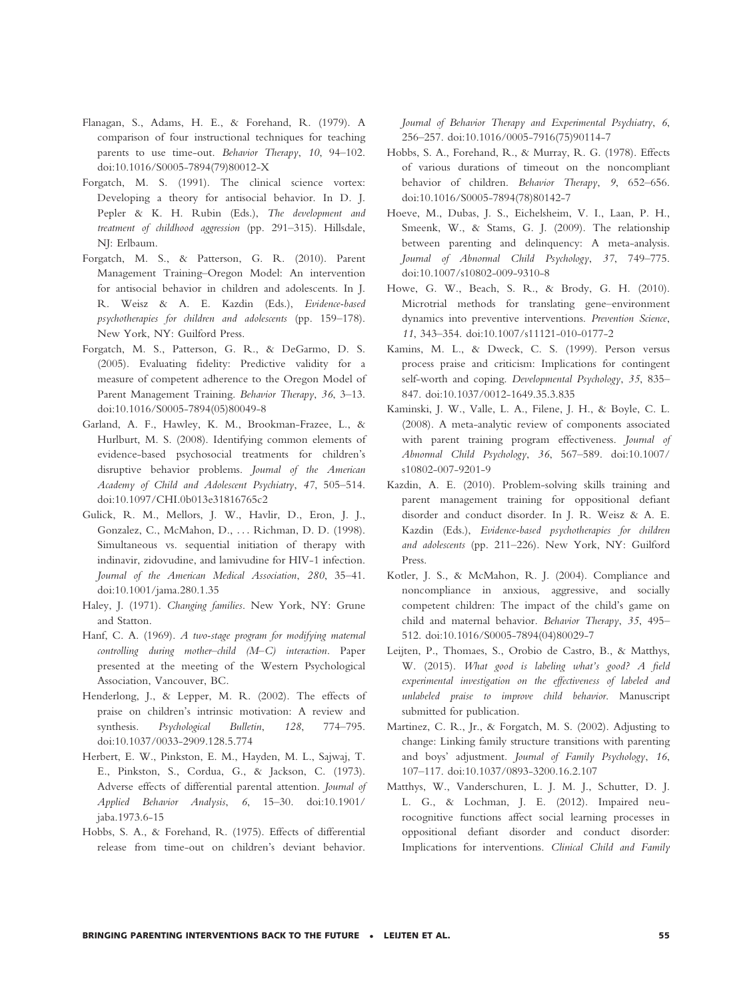- Flanagan, S., Adams, H. E., & Forehand, R. (1979). A comparison of four instructional techniques for teaching parents to use time-out. Behavior Therapy, 10, 94–102. doi:[10.1016/S0005-7894\(79\)80012-X](http://dx.doi.org/10.1016/S0005-7894(79)80012-X)
- Forgatch, M. S. (1991). The clinical science vortex: Developing a theory for antisocial behavior. In D. J. Pepler & K. H. Rubin (Eds.), The development and treatment of childhood aggression (pp. 291–315). Hillsdale, NJ: Erlbaum.
- Forgatch, M. S., & Patterson, G. R. (2010). Parent Management Training–Oregon Model: An intervention for antisocial behavior in children and adolescents. In J. R. Weisz & A. E. Kazdin (Eds.), Evidence-based psychotherapies for children and adolescents (pp. 159–178). New York, NY: Guilford Press.
- Forgatch, M. S., Patterson, G. R., & DeGarmo, D. S. (2005). Evaluating fidelity: Predictive validity for a measure of competent adherence to the Oregon Model of Parent Management Training. Behavior Therapy, 36, 3–13. doi:[10.1016/S0005-7894\(05\)80049-8](http://dx.doi.org/10.1016/S0005-7894(05)80049-8)
- Garland, A. F., Hawley, K. M., Brookman-Frazee, L., & Hurlburt, M. S. (2008). Identifying common elements of evidence-based psychosocial treatments for children's disruptive behavior problems. Journal of the American Academy of Child and Adolescent Psychiatry, 47, 505–514. doi:[10.1097/CHI.0b013e31816765c2](http://dx.doi.org/10.1097/CHI.0b013e31816765c2)
- Gulick, R. M., Mellors, J. W., Havlir, D., Eron, J. J., Gonzalez, C., McMahon, D., ... Richman, D. D. (1998). Simultaneous vs. sequential initiation of therapy with indinavir, zidovudine, and lamivudine for HIV-1 infection. Journal of the American Medical Association, 280, 35–41. doi:[10.1001/jama.280.1.35](http://dx.doi.org/10.1001/jama.280.1.35)
- Haley, J. (1971). Changing families. New York, NY: Grune and Statton.
- Hanf, C. A. (1969). A two-stage program for modifying maternal controlling during mother–child (M–C) interaction. Paper presented at the meeting of the Western Psychological Association, Vancouver, BC.
- Henderlong, J., & Lepper, M. R. (2002). The effects of praise on children's intrinsic motivation: A review and synthesis. Psychological Bulletin, 128, 774–795. doi:[10.1037/0033-2909.128.5.774](http://dx.doi.org/10.1037/0033-2909.128.5.774)
- Herbert, E. W., Pinkston, E. M., Hayden, M. L., Sajwaj, T. E., Pinkston, S., Cordua, G., & Jackson, C. (1973). Adverse effects of differential parental attention. Journal of Applied Behavior Analysis, 6, 15–30. doi[:10.1901/](http://dx.doi.org/10.1901/jaba.1973.6-15) [jaba.1973.6-15](http://dx.doi.org/10.1901/jaba.1973.6-15)
- Hobbs, S. A., & Forehand, R. (1975). Effects of differential release from time-out on children's deviant behavior.

Journal of Behavior Therapy and Experimental Psychiatry, 6, 256–257. doi:[10.1016/0005-7916\(75\)90114-7](http://dx.doi.org/10.1016/0005-7916(75)90114-7)

- Hobbs, S. A., Forehand, R., & Murray, R. G. (1978). Effects of various durations of timeout on the noncompliant behavior of children. Behavior Therapy, 9, 652–656. doi:[10.1016/S0005-7894\(78\)80142-7](http://dx.doi.org/10.1016/S0005-7894(78)80142-7)
- Hoeve, M., Dubas, J. S., Eichelsheim, V. I., Laan, P. H., Smeenk, W., & Stams, G. J. (2009). The relationship between parenting and delinquency: A meta-analysis. Journal of Abnormal Child Psychology, 37, 749–775. doi:[10.1007/s10802-009-9310-8](http://dx.doi.org/10.1007/s10802-009-9310-8)
- Howe, G. W., Beach, S. R., & Brody, G. H. (2010). Microtrial methods for translating gene–environment dynamics into preventive interventions. Prevention Science, 11, 343–354. doi:[10.1007/s11121-010-0177-2](http://dx.doi.org/10.1007/s11121-010-0177-2)
- Kamins, M. L., & Dweck, C. S. (1999). Person versus process praise and criticism: Implications for contingent self-worth and coping. Developmental Psychology, 35, 835– 847. doi[:10.1037/0012-1649.35.3.835](http://dx.doi.org/10.1037/0012-1649.35.3.835)
- Kaminski, J. W., Valle, L. A., Filene, J. H., & Boyle, C. L. (2008). A meta-analytic review of components associated with parent training program effectiveness. Journal of Abnormal Child Psychology, 36, 567–589. doi[:10.1007/](http://dx.doi.org/10.1007/s10802-007-9201-9) [s10802-007-9201-9](http://dx.doi.org/10.1007/s10802-007-9201-9)
- Kazdin, A. E. (2010). Problem-solving skills training and parent management training for oppositional defiant disorder and conduct disorder. In J. R. Weisz & A. E. Kazdin (Eds.), Evidence-based psychotherapies for children and adolescents (pp. 211–226). New York, NY: Guilford Press.
- Kotler, J. S., & McMahon, R. J. (2004). Compliance and noncompliance in anxious, aggressive, and socially competent children: The impact of the child's game on child and maternal behavior. Behavior Therapy, 35, 495– 512. doi[:10.1016/S0005-7894\(04\)80029-7](http://dx.doi.org/10.1016/S0005-7894(04)80029-7)
- Leijten, P., Thomaes, S., Orobio de Castro, B., & Matthys, W. (2015). What good is labeling what's good? A field experimental investigation on the effectiveness of labeled and unlabeled praise to improve child behavior. Manuscript submitted for publication.
- Martinez, C. R., Jr., & Forgatch, M. S. (2002). Adjusting to change: Linking family structure transitions with parenting and boys' adjustment. Journal of Family Psychology, 16, 107–117. doi:[10.1037/0893-3200.16.2.107](http://dx.doi.org/10.1037/0893-3200.16.2.107)
- Matthys, W., Vanderschuren, L. J. M. J., Schutter, D. J. L. G., & Lochman, J. E. (2012). Impaired neurocognitive functions affect social learning processes in oppositional defiant disorder and conduct disorder: Implications for interventions. Clinical Child and Family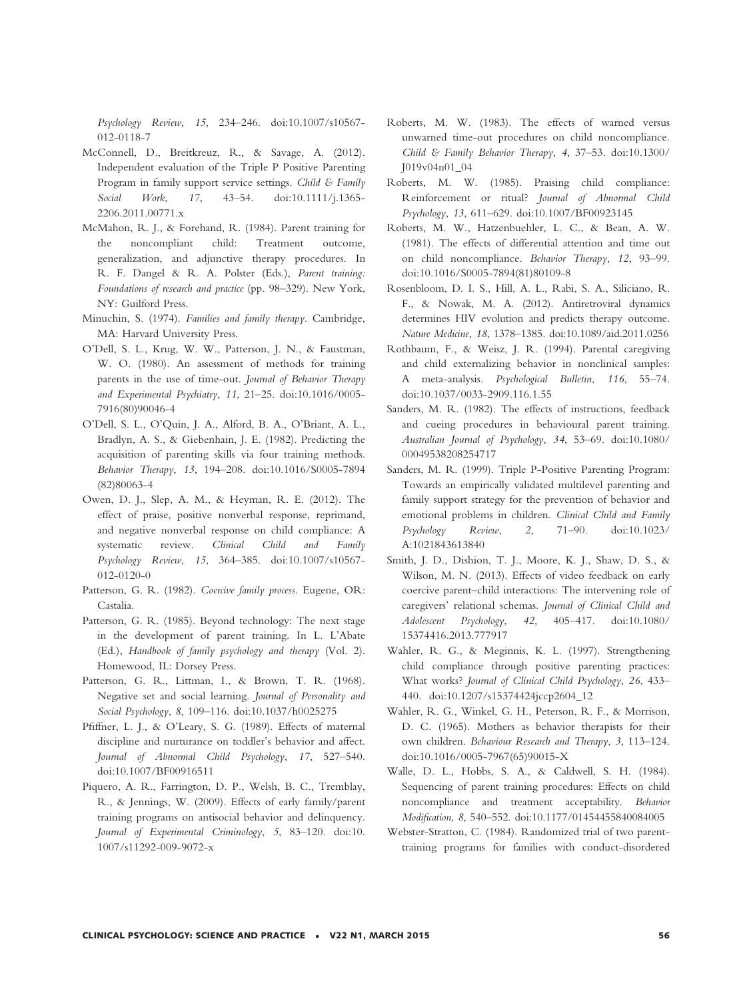Psychology Review, 15, 234–246. doi[:10.1007/s10567-](http://dx.doi.org/10.1007/s10567-012-0118-7) [012-0118-7](http://dx.doi.org/10.1007/s10567-012-0118-7)

- McConnell, D., Breitkreuz, R., & Savage, A. (2012). Independent evaluation of the Triple P Positive Parenting Program in family support service settings. Child  $\&$  Family Social Work, 17, 43–54. doi:[10.1111/j.1365-](http://dx.doi.org/10.1111/j.1365-2206.2011.00771.x) [2206.2011.00771.x](http://dx.doi.org/10.1111/j.1365-2206.2011.00771.x)
- McMahon, R. J., & Forehand, R. (1984). Parent training for the noncompliant child: Treatment outcome, generalization, and adjunctive therapy procedures. In R. F. Dangel & R. A. Polster (Eds.), Parent training: Foundations of research and practice (pp. 98–329). New York, NY: Guilford Press.
- Minuchin, S. (1974). Families and family therapy. Cambridge, MA: Harvard University Press.
- O'Dell, S. L., Krug, W. W., Patterson, J. N., & Faustman, W. O. (1980). An assessment of methods for training parents in the use of time-out. Journal of Behavior Therapy and Experimental Psychiatry, 11, 21–25. doi[:10.1016/0005-](http://dx.doi.org/10.1016/0005-7916(80)90046-4) [7916\(80\)90046-4](http://dx.doi.org/10.1016/0005-7916(80)90046-4)
- O'Dell, S. L., O'Quin, J. A., Alford, B. A., O'Briant, A. L., Bradlyn, A. S., & Giebenhain, J. E. (1982). Predicting the acquisition of parenting skills via four training methods. Behavior Therapy, 13, 194–208. doi[:10.1016/S0005-7894](http://dx.doi.org/10.1016/S0005-7894(82)80063-4) [\(82\)80063-4](http://dx.doi.org/10.1016/S0005-7894(82)80063-4)
- Owen, D. J., Slep, A. M., & Heyman, R. E. (2012). The effect of praise, positive nonverbal response, reprimand, and negative nonverbal response on child compliance: A systematic review. Clinical Child and Family Psychology Review, 15, 364–385. doi[:10.1007/s10567-](http://dx.doi.org/10.1007/s10567-012-0120-0) [012-0120-0](http://dx.doi.org/10.1007/s10567-012-0120-0)
- Patterson, G. R. (1982). Coercive family process. Eugene, OR: Castalia.
- Patterson, G. R. (1985). Beyond technology: The next stage in the development of parent training. In L. L'Abate (Ed.), Handbook of family psychology and therapy (Vol. 2). Homewood, IL: Dorsey Press.
- Patterson, G. R., Littman, I., & Brown, T. R. (1968). Negative set and social learning. Journal of Personality and Social Psychology, 8, 109–116. doi[:10.1037/h0025275](http://dx.doi.org/10.1037/h0025275)
- Pfiffner, L. J., & O'Leary, S. G. (1989). Effects of maternal discipline and nurturance on toddler's behavior and affect. Journal of Abnormal Child Psychology, 17, 527–540. doi:[10.1007/BF00916511](http://dx.doi.org/10.1007/BF00916511)
- Piquero, A. R., Farrington, D. P., Welsh, B. C., Tremblay, R., & Jennings, W. (2009). Effects of early family/parent training programs on antisocial behavior and delinquency. Journal of Experimental Criminology, 5, 83–120. doi[:10.](http://dx.doi.org/10.1007/s11292-009-9072-x) [1007/s11292-009-9072-x](http://dx.doi.org/10.1007/s11292-009-9072-x)
- Roberts, M. W. (1983). The effects of warned versus unwarned time-out procedures on child noncompliance. Child & Family Behavior Therapy, 4, 37–53. doi[:10.1300/](http://dx.doi.org/10.1300/J019v04n01_04) [J019v04n01\\_04](http://dx.doi.org/10.1300/J019v04n01_04)
- Roberts, M. W. (1985). Praising child compliance: Reinforcement or ritual? Journal of Abnormal Child Psychology, 13, 611–629. doi[:10.1007/BF00923145](http://dx.doi.org/10.1007/BF00923145)
- Roberts, M. W., Hatzenbuehler, L. C., & Bean, A. W. (1981). The effects of differential attention and time out on child noncompliance. Behavior Therapy, 12, 93–99. doi:[10.1016/S0005-7894\(81\)80109-8](http://dx.doi.org/10.1016/S0005-7894(81)80109-8)
- Rosenbloom, D. I. S., Hill, A. L., Rabi, S. A., Siliciano, R. F., & Nowak, M. A. (2012). Antiretroviral dynamics determines HIV evolution and predicts therapy outcome. Nature Medicine, 18, 1378–1385. doi[:10.1089/aid.2011.0256](http://dx.doi.org/10.1089/aid.2011.0256)
- Rothbaum, F., & Weisz, J. R. (1994). Parental caregiving and child externalizing behavior in nonclinical samples: A meta-analysis. Psychological Bulletin, 116, 55–74. doi:[10.1037/0033-2909.116.1.55](http://dx.doi.org/10.1037/0033-2909.116.1.55)
- Sanders, M. R. (1982). The effects of instructions, feedback and cueing procedures in behavioural parent training. Australian Journal of Psychology, 34, 53–69. doi[:10.1080/](http://dx.doi.org/10.1080/00049538208254717) [00049538208254717](http://dx.doi.org/10.1080/00049538208254717)
- Sanders, M. R. (1999). Triple P-Positive Parenting Program: Towards an empirically validated multilevel parenting and family support strategy for the prevention of behavior and emotional problems in children. Clinical Child and Family Psychology Review, 2, 71–90. doi[:10.1023/](http://dx.doi.org/10.1023/A:1021843613840) [A:1021843613840](http://dx.doi.org/10.1023/A:1021843613840)
- Smith, J. D., Dishion, T. J., Moore, K. J., Shaw, D. S., & Wilson, M. N. (2013). Effects of video feedback on early coercive parent–child interactions: The intervening role of caregivers' relational schemas. Journal of Clinical Child and Adolescent Psychology, 42, 405–417. doi[:10.1080/](http://dx.doi.org/10.1080/15374416.2013.777917) [15374416.2013.777917](http://dx.doi.org/10.1080/15374416.2013.777917)
- Wahler, R. G., & Meginnis, K. L. (1997). Strengthening child compliance through positive parenting practices: What works? Journal of Clinical Child Psychology, 26, 433– 440. doi[:10.1207/s15374424jccp2604\\_12](http://dx.doi.org/10.1207/s15374424jccp2604_12)
- Wahler, R. G., Winkel, G. H., Peterson, R. F., & Morrison, D. C. (1965). Mothers as behavior therapists for their own children. Behaviour Research and Therapy, 3, 113–124. doi:[10.1016/0005-7967\(65\)90015-X](http://dx.doi.org/10.1016/0005-7967(65)90015-X)
- Walle, D. L., Hobbs, S. A., & Caldwell, S. H. (1984). Sequencing of parent training procedures: Effects on child noncompliance and treatment acceptability. Behavior Modification, 8, 540–552. doi:[10.1177/01454455840084005](http://dx.doi.org/10.1177/01454455840084005)
- Webster-Stratton, C. (1984). Randomized trial of two parenttraining programs for families with conduct-disordered